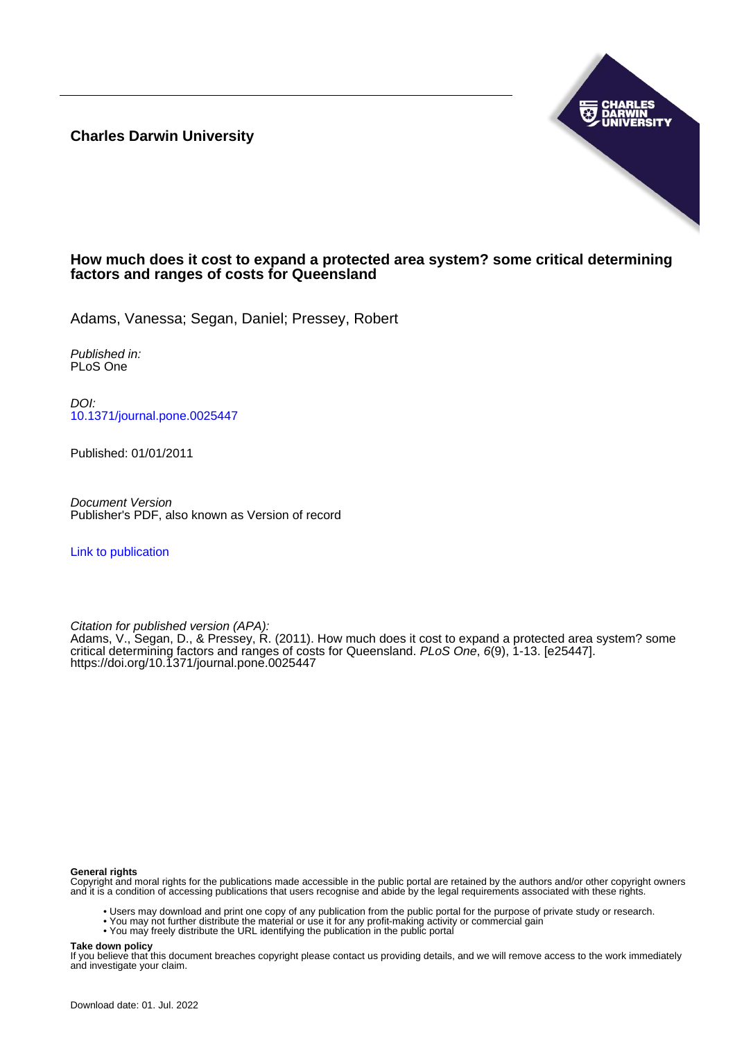**Charles Darwin University**



# **How much does it cost to expand a protected area system? some critical determining factors and ranges of costs for Queensland**

Adams, Vanessa; Segan, Daniel; Pressey, Robert

Published in: PLoS One

DOI: [10.1371/journal.pone.0025447](https://doi.org/10.1371/journal.pone.0025447)

Published: 01/01/2011

Document Version Publisher's PDF, also known as Version of record

[Link to publication](https://researchers.cdu.edu.au/en/publications/a936e76f-5d7d-4836-a7fd-a3b9c0f2f1e0)

Citation for published version (APA):

Adams, V., Segan, D., & Pressey, R. (2011). How much does it cost to expand a protected area system? some critical determining factors and ranges of costs for Queensland. PLoS One, 6(9), 1-13. [e25447]. <https://doi.org/10.1371/journal.pone.0025447>

#### **General rights**

Copyright and moral rights for the publications made accessible in the public portal are retained by the authors and/or other copyright owners and it is a condition of accessing publications that users recognise and abide by the legal requirements associated with these rights.

- Users may download and print one copy of any publication from the public portal for the purpose of private study or research.
- You may not further distribute the material or use it for any profit-making activity or commercial gain
- You may freely distribute the URL identifying the publication in the public portal

#### **Take down policy**

If you believe that this document breaches copyright please contact us providing details, and we will remove access to the work immediately and investigate your claim.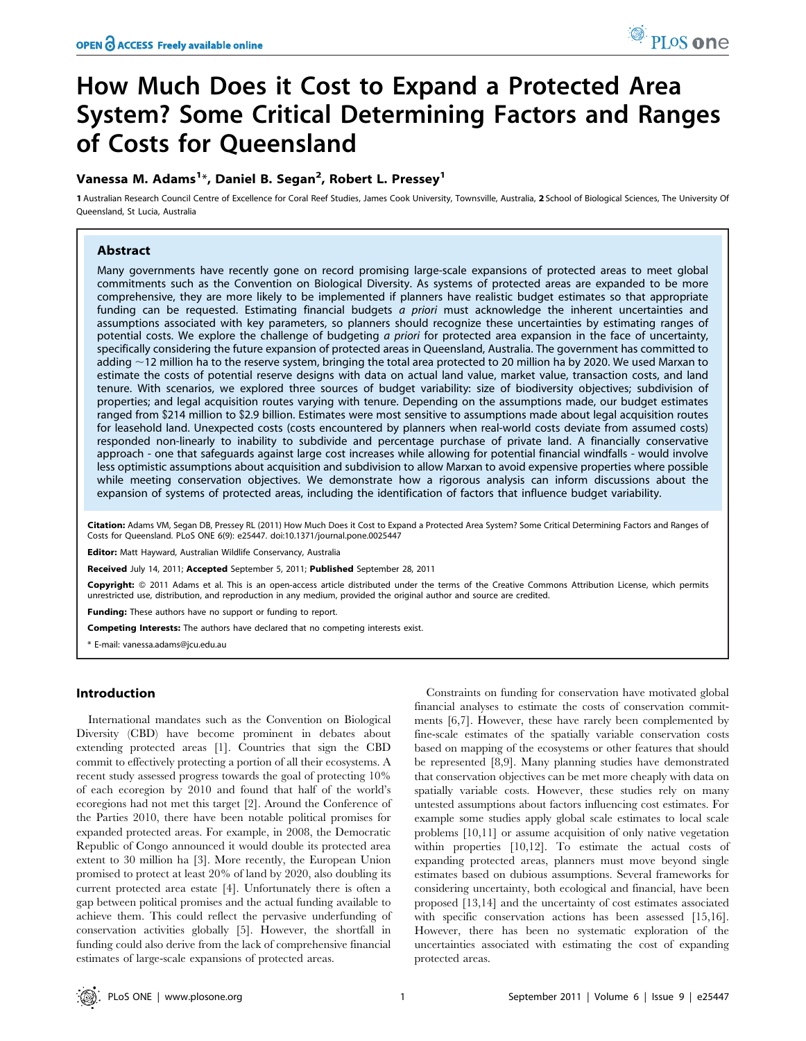# How Much Does it Cost to Expand a Protected Area System? Some Critical Determining Factors and Ranges of Costs for Queensland

# Vanessa M. Adams<sup>1</sup>\*, Daniel B. Segan<sup>2</sup>, Robert L. Pressey<sup>1</sup>

1 Australian Research Council Centre of Excellence for Coral Reef Studies, James Cook University, Townsville, Australia, 2 School of Biological Sciences, The University Of Queensland, St Lucia, Australia

# Abstract

Many governments have recently gone on record promising large-scale expansions of protected areas to meet global commitments such as the Convention on Biological Diversity. As systems of protected areas are expanded to be more comprehensive, they are more likely to be implemented if planners have realistic budget estimates so that appropriate funding can be requested. Estimating financial budgets a priori must acknowledge the inherent uncertainties and assumptions associated with key parameters, so planners should recognize these uncertainties by estimating ranges of potential costs. We explore the challenge of budgeting a priori for protected area expansion in the face of uncertainty, specifically considering the future expansion of protected areas in Queensland, Australia. The government has committed to adding  $\sim$ 12 million ha to the reserve system, bringing the total area protected to 20 million ha by 2020. We used Marxan to estimate the costs of potential reserve designs with data on actual land value, market value, transaction costs, and land tenure. With scenarios, we explored three sources of budget variability: size of biodiversity objectives; subdivision of properties; and legal acquisition routes varying with tenure. Depending on the assumptions made, our budget estimates ranged from \$214 million to \$2.9 billion. Estimates were most sensitive to assumptions made about legal acquisition routes for leasehold land. Unexpected costs (costs encountered by planners when real-world costs deviate from assumed costs) responded non-linearly to inability to subdivide and percentage purchase of private land. A financially conservative approach - one that safeguards against large cost increases while allowing for potential financial windfalls - would involve less optimistic assumptions about acquisition and subdivision to allow Marxan to avoid expensive properties where possible while meeting conservation objectives. We demonstrate how a rigorous analysis can inform discussions about the expansion of systems of protected areas, including the identification of factors that influence budget variability.

Citation: Adams VM, Segan DB, Pressey RL (2011) How Much Does it Cost to Expand a Protected Area System? Some Critical Determining Factors and Ranges of Costs for Queensland. PLoS ONE 6(9): e25447. doi:10.1371/journal.pone.0025447

Editor: Matt Hayward, Australian Wildlife Conservancy, Australia

Received July 14, 2011; Accepted September 5, 2011; Published September 28, 2011

Copyright: © 2011 Adams et al. This is an open-access article distributed under the terms of the Creative Commons Attribution License, which permits unrestricted use, distribution, and reproduction in any medium, provided the original author and source are credited.

Funding: These authors have no support or funding to report.

Competing Interests: The authors have declared that no competing interests exist.

\* E-mail: vanessa.adams@jcu.edu.au

# Introduction

International mandates such as the Convention on Biological Diversity (CBD) have become prominent in debates about extending protected areas [1]. Countries that sign the CBD commit to effectively protecting a portion of all their ecosystems. A recent study assessed progress towards the goal of protecting 10% of each ecoregion by 2010 and found that half of the world's ecoregions had not met this target [2]. Around the Conference of the Parties 2010, there have been notable political promises for expanded protected areas. For example, in 2008, the Democratic Republic of Congo announced it would double its protected area extent to 30 million ha [3]. More recently, the European Union promised to protect at least 20% of land by 2020, also doubling its current protected area estate [4]. Unfortunately there is often a gap between political promises and the actual funding available to achieve them. This could reflect the pervasive underfunding of conservation activities globally [5]. However, the shortfall in funding could also derive from the lack of comprehensive financial estimates of large-scale expansions of protected areas.

Constraints on funding for conservation have motivated global financial analyses to estimate the costs of conservation commitments [6,7]. However, these have rarely been complemented by fine-scale estimates of the spatially variable conservation costs based on mapping of the ecosystems or other features that should be represented [8,9]. Many planning studies have demonstrated that conservation objectives can be met more cheaply with data on spatially variable costs. However, these studies rely on many untested assumptions about factors influencing cost estimates. For example some studies apply global scale estimates to local scale problems [10,11] or assume acquisition of only native vegetation within properties [10,12]. To estimate the actual costs of expanding protected areas, planners must move beyond single estimates based on dubious assumptions. Several frameworks for considering uncertainty, both ecological and financial, have been proposed [13,14] and the uncertainty of cost estimates associated with specific conservation actions has been assessed [15,16]. However, there has been no systematic exploration of the uncertainties associated with estimating the cost of expanding protected areas.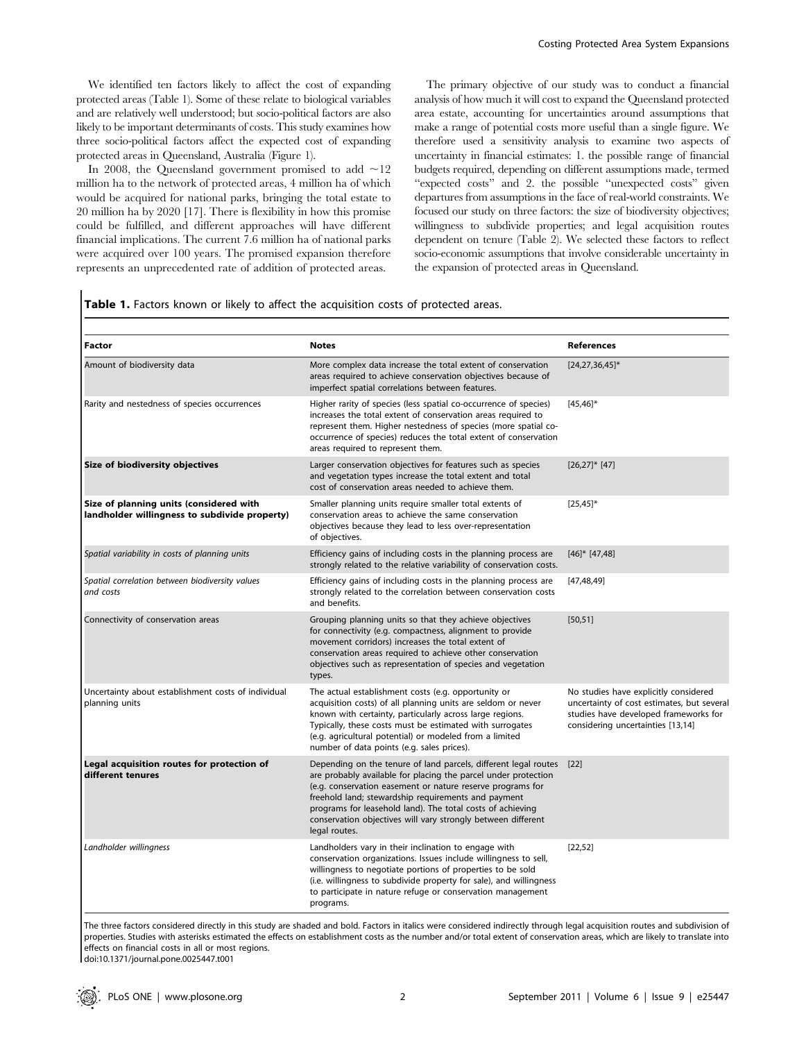We identified ten factors likely to affect the cost of expanding protected areas (Table 1). Some of these relate to biological variables and are relatively well understood; but socio-political factors are also likely to be important determinants of costs. This study examines how three socio-political factors affect the expected cost of expanding protected areas in Queensland, Australia (Figure 1).

In 2008, the Queensland government promised to add  $\sim$ 12 million ha to the network of protected areas, 4 million ha of which would be acquired for national parks, bringing the total estate to 20 million ha by 2020 [17]. There is flexibility in how this promise could be fulfilled, and different approaches will have different financial implications. The current 7.6 million ha of national parks were acquired over 100 years. The promised expansion therefore represents an unprecedented rate of addition of protected areas.

 $\overline{\phantom{a}}$ 

The primary objective of our study was to conduct a financial analysis of how much it will cost to expand the Queensland protected area estate, accounting for uncertainties around assumptions that make a range of potential costs more useful than a single figure. We therefore used a sensitivity analysis to examine two aspects of uncertainty in financial estimates: 1. the possible range of financial budgets required, depending on different assumptions made, termed "expected costs" and 2. the possible "unexpected costs" given departures from assumptions in the face of real-world constraints. We focused our study on three factors: the size of biodiversity objectives; willingness to subdivide properties; and legal acquisition routes dependent on tenure (Table 2). We selected these factors to reflect socio-economic assumptions that involve considerable uncertainty in the expansion of protected areas in Queensland.

| <b>Factor</b>                                                                            | <b>Notes</b>                                                                                                                                                                                                                                                                                                                                                                                          | <b>References</b>                                                                                                                                                 |
|------------------------------------------------------------------------------------------|-------------------------------------------------------------------------------------------------------------------------------------------------------------------------------------------------------------------------------------------------------------------------------------------------------------------------------------------------------------------------------------------------------|-------------------------------------------------------------------------------------------------------------------------------------------------------------------|
| Amount of biodiversity data                                                              | More complex data increase the total extent of conservation<br>areas required to achieve conservation objectives because of<br>imperfect spatial correlations between features.                                                                                                                                                                                                                       | $[24, 27, 36, 45]$ *                                                                                                                                              |
| Rarity and nestedness of species occurrences                                             | Higher rarity of species (less spatial co-occurrence of species)<br>increases the total extent of conservation areas required to<br>represent them. Higher nestedness of species (more spatial co-<br>occurrence of species) reduces the total extent of conservation<br>areas required to represent them.                                                                                            | $[45, 46]$ *                                                                                                                                                      |
| Size of biodiversity objectives                                                          | Larger conservation objectives for features such as species<br>and vegetation types increase the total extent and total<br>cost of conservation areas needed to achieve them.                                                                                                                                                                                                                         | $[26,27]$ * [47]                                                                                                                                                  |
| Size of planning units (considered with<br>landholder willingness to subdivide property) | Smaller planning units require smaller total extents of<br>conservation areas to achieve the same conservation<br>objectives because they lead to less over-representation<br>of objectives.                                                                                                                                                                                                          | $[25, 45]$ *                                                                                                                                                      |
| Spatial variability in costs of planning units                                           | Efficiency gains of including costs in the planning process are<br>strongly related to the relative variability of conservation costs.                                                                                                                                                                                                                                                                | $[46]$ * $[47,48]$                                                                                                                                                |
| Spatial correlation between biodiversity values<br>and costs                             | Efficiency gains of including costs in the planning process are<br>strongly related to the correlation between conservation costs<br>and benefits.                                                                                                                                                                                                                                                    | [47, 48, 49]                                                                                                                                                      |
| Connectivity of conservation areas                                                       | Grouping planning units so that they achieve objectives<br>for connectivity (e.g. compactness, alignment to provide<br>movement corridors) increases the total extent of<br>conservation areas required to achieve other conservation<br>objectives such as representation of species and vegetation<br>types.                                                                                        | [50, 51]                                                                                                                                                          |
| Uncertainty about establishment costs of individual<br>planning units                    | The actual establishment costs (e.g. opportunity or<br>acquisition costs) of all planning units are seldom or never<br>known with certainty, particularly across large regions.<br>Typically, these costs must be estimated with surrogates<br>(e.g. agricultural potential) or modeled from a limited<br>number of data points (e.g. sales prices).                                                  | No studies have explicitly considered<br>uncertainty of cost estimates, but several<br>studies have developed frameworks for<br>considering uncertainties [13,14] |
| Legal acquisition routes for protection of<br>different tenures                          | Depending on the tenure of land parcels, different legal routes<br>are probably available for placing the parcel under protection<br>(e.g. conservation easement or nature reserve programs for<br>freehold land; stewardship requirements and payment<br>programs for leasehold land). The total costs of achieving<br>conservation objectives will vary strongly between different<br>legal routes. | $[22]$                                                                                                                                                            |
| Landholder willingness                                                                   | Landholders vary in their inclination to engage with<br>conservation organizations. Issues include willingness to sell,<br>willingness to negotiate portions of properties to be sold<br>(i.e. willingness to subdivide property for sale), and willingness<br>to participate in nature refuge or conservation management<br>programs.                                                                | [22,52]                                                                                                                                                           |

The three factors considered directly in this study are shaded and bold. Factors in italics were considered indirectly through legal acquisition routes and subdivision of properties. Studies with asterisks estimated the effects on establishment costs as the number and/or total extent of conservation areas, which are likely to translate into effects on financial costs in all or most regions.

doi:10.1371/journal.pone.0025447.t001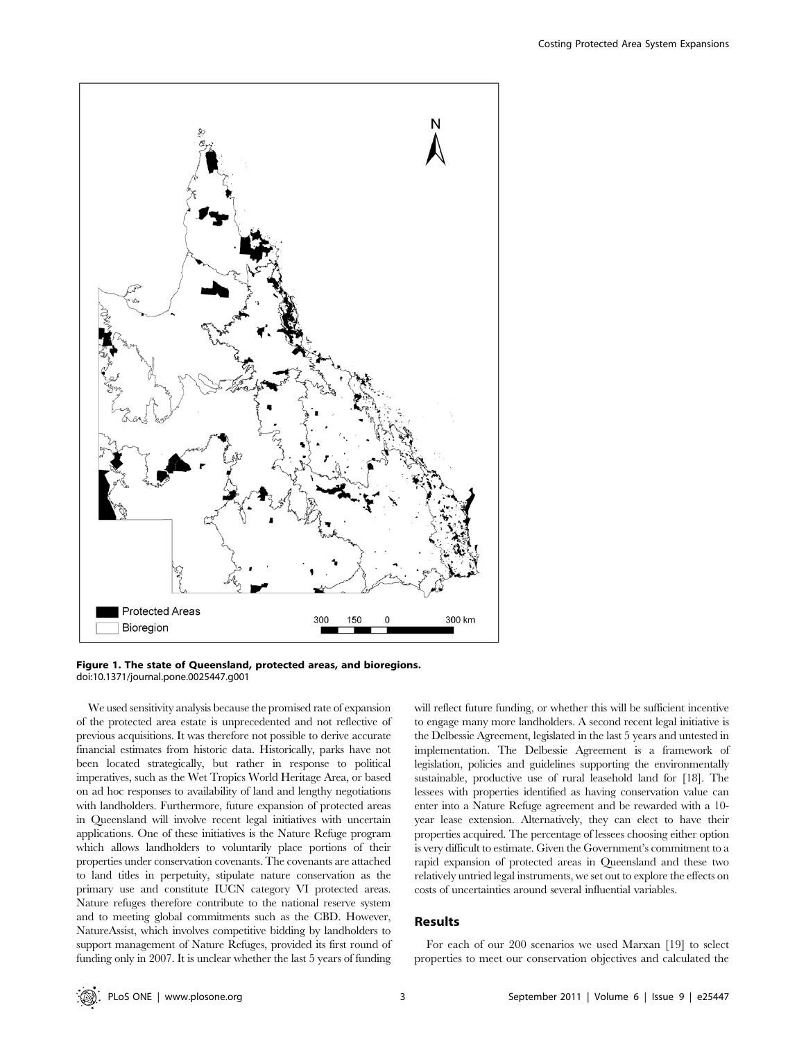



We used sensitivity analysis because the promised rate of expansion of the protected area estate is unprecedented and not reflective of previous acquisitions. It was therefore not possible to derive accurate financial estimates from historic data. Historically, parks have not been located strategically, but rather in response to political imperatives, such as the Wet Tropics World Heritage Area, or based on ad hoc responses to availability of land and lengthy negotiations with landholders. Furthermore, future expansion of protected areas in Queensland will involve recent legal initiatives with uncertain applications. One of these initiatives is the Nature Refuge program which allows landholders to voluntarily place portions of their properties under conservation covenants. The covenants are attached to land titles in perpetuity, stipulate nature conservation as the primary use and constitute IUCN category VI protected areas. Nature refuges therefore contribute to the national reserve system and to meeting global commitments such as the CBD. However, NatureAssist, which involves competitive bidding by landholders to support management of Nature Refuges, provided its first round of funding only in 2007. It is unclear whether the last 5 years of funding will reflect future funding, or whether this will be sufficient incentive to engage many more landholders. A second recent legal initiative is the Delbessie Agreement, legislated in the last 5 years and untested in implementation. The Delbessie Agreement is a framework of legislation, policies and guidelines supporting the environmentally sustainable, productive use of rural leasehold land for [18]. The lessees with properties identified as having conservation value can enter into a Nature Refuge agreement and be rewarded with a 10 year lease extension. Alternatively, they can elect to have their properties acquired. The percentage of lessees choosing either option is very difficult to estimate. Given the Government's commitment to a rapid expansion of protected areas in Queensland and these two relatively untried legal instruments, we set out to explore the effects on costs of uncertainties around several influential variables.

#### Results

For each of our 200 scenarios we used Marxan [19] to select properties to meet our conservation objectives and calculated the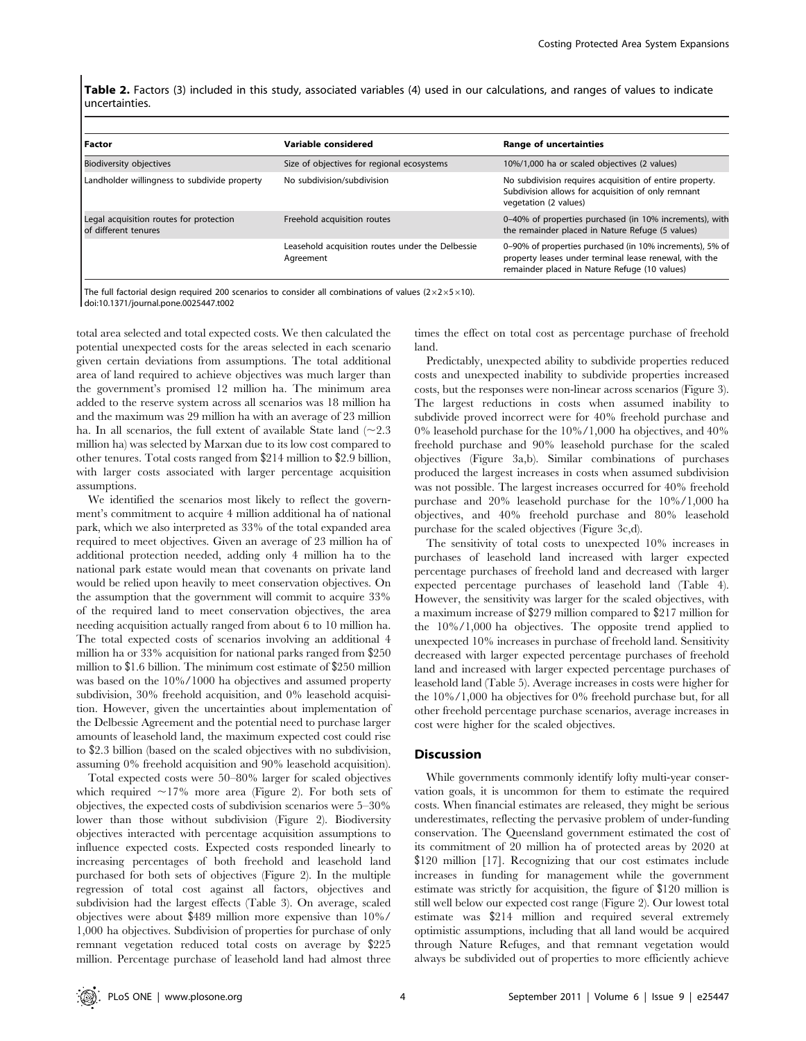Table 2. Factors (3) included in this study, associated variables (4) used in our calculations, and ranges of values to indicate uncertainties.

| Factor                                                          | Variable considered                                           | <b>Range of uncertainties</b>                                                                                                                                       |
|-----------------------------------------------------------------|---------------------------------------------------------------|---------------------------------------------------------------------------------------------------------------------------------------------------------------------|
| <b>Biodiversity objectives</b>                                  | Size of objectives for regional ecosystems                    | 10%/1,000 ha or scaled objectives (2 values)                                                                                                                        |
| Landholder willingness to subdivide property                    | No subdivision/subdivision                                    | No subdivision requires acquisition of entire property.<br>Subdivision allows for acquisition of only remnant<br>vegetation (2 values)                              |
| Legal acquisition routes for protection<br>of different tenures | Freehold acquisition routes                                   | 0-40% of properties purchased (in 10% increments), with<br>the remainder placed in Nature Refuge (5 values)                                                         |
|                                                                 | Leasehold acquisition routes under the Delbessie<br>Agreement | 0-90% of properties purchased (in 10% increments), 5% of<br>property leases under terminal lease renewal, with the<br>remainder placed in Nature Refuge (10 values) |

The full factorial design required 200 scenarios to consider all combinations of values ( $2 \times 2 \times 5 \times 10$ ). doi:10.1371/journal.pone.0025447.t002

total area selected and total expected costs. We then calculated the potential unexpected costs for the areas selected in each scenario given certain deviations from assumptions. The total additional area of land required to achieve objectives was much larger than the government's promised 12 million ha. The minimum area added to the reserve system across all scenarios was 18 million ha and the maximum was 29 million ha with an average of 23 million ha. In all scenarios, the full extent of available State land  $(\sim 2.3)$ million ha) was selected by Marxan due to its low cost compared to other tenures. Total costs ranged from \$214 million to \$2.9 billion, with larger costs associated with larger percentage acquisition assumptions.

We identified the scenarios most likely to reflect the government's commitment to acquire 4 million additional ha of national park, which we also interpreted as 33% of the total expanded area required to meet objectives. Given an average of 23 million ha of additional protection needed, adding only 4 million ha to the national park estate would mean that covenants on private land would be relied upon heavily to meet conservation objectives. On the assumption that the government will commit to acquire 33% of the required land to meet conservation objectives, the area needing acquisition actually ranged from about 6 to 10 million ha. The total expected costs of scenarios involving an additional 4 million ha or 33% acquisition for national parks ranged from \$250 million to \$1.6 billion. The minimum cost estimate of \$250 million was based on the 10%/1000 ha objectives and assumed property subdivision, 30% freehold acquisition, and 0% leasehold acquisition. However, given the uncertainties about implementation of the Delbessie Agreement and the potential need to purchase larger amounts of leasehold land, the maximum expected cost could rise to \$2.3 billion (based on the scaled objectives with no subdivision, assuming 0% freehold acquisition and 90% leasehold acquisition).

Total expected costs were 50–80% larger for scaled objectives which required  $\sim$ 17% more area (Figure 2). For both sets of objectives, the expected costs of subdivision scenarios were 5–30% lower than those without subdivision (Figure 2). Biodiversity objectives interacted with percentage acquisition assumptions to influence expected costs. Expected costs responded linearly to increasing percentages of both freehold and leasehold land purchased for both sets of objectives (Figure 2). In the multiple regression of total cost against all factors, objectives and subdivision had the largest effects (Table 3). On average, scaled objectives were about \$489 million more expensive than 10%/ 1,000 ha objectives. Subdivision of properties for purchase of only remnant vegetation reduced total costs on average by \$225 million. Percentage purchase of leasehold land had almost three

times the effect on total cost as percentage purchase of freehold land.

Predictably, unexpected ability to subdivide properties reduced costs and unexpected inability to subdivide properties increased costs, but the responses were non-linear across scenarios (Figure 3). The largest reductions in costs when assumed inability to subdivide proved incorrect were for 40% freehold purchase and 0% leasehold purchase for the 10%/1,000 ha objectives, and 40% freehold purchase and 90% leasehold purchase for the scaled objectives (Figure 3a,b). Similar combinations of purchases produced the largest increases in costs when assumed subdivision was not possible. The largest increases occurred for 40% freehold purchase and 20% leasehold purchase for the 10%/1,000 ha objectives, and 40% freehold purchase and 80% leasehold purchase for the scaled objectives (Figure 3c,d).

The sensitivity of total costs to unexpected 10% increases in purchases of leasehold land increased with larger expected percentage purchases of freehold land and decreased with larger expected percentage purchases of leasehold land (Table 4). However, the sensitivity was larger for the scaled objectives, with a maximum increase of \$279 million compared to \$217 million for the 10%/1,000 ha objectives. The opposite trend applied to unexpected 10% increases in purchase of freehold land. Sensitivity decreased with larger expected percentage purchases of freehold land and increased with larger expected percentage purchases of leasehold land (Table 5). Average increases in costs were higher for the 10%/1,000 ha objectives for 0% freehold purchase but, for all other freehold percentage purchase scenarios, average increases in cost were higher for the scaled objectives.

#### **Discussion**

While governments commonly identify lofty multi-year conservation goals, it is uncommon for them to estimate the required costs. When financial estimates are released, they might be serious underestimates, reflecting the pervasive problem of under-funding conservation. The Queensland government estimated the cost of its commitment of 20 million ha of protected areas by 2020 at \$120 million [17]. Recognizing that our cost estimates include increases in funding for management while the government estimate was strictly for acquisition, the figure of \$120 million is still well below our expected cost range (Figure 2). Our lowest total estimate was \$214 million and required several extremely optimistic assumptions, including that all land would be acquired through Nature Refuges, and that remnant vegetation would always be subdivided out of properties to more efficiently achieve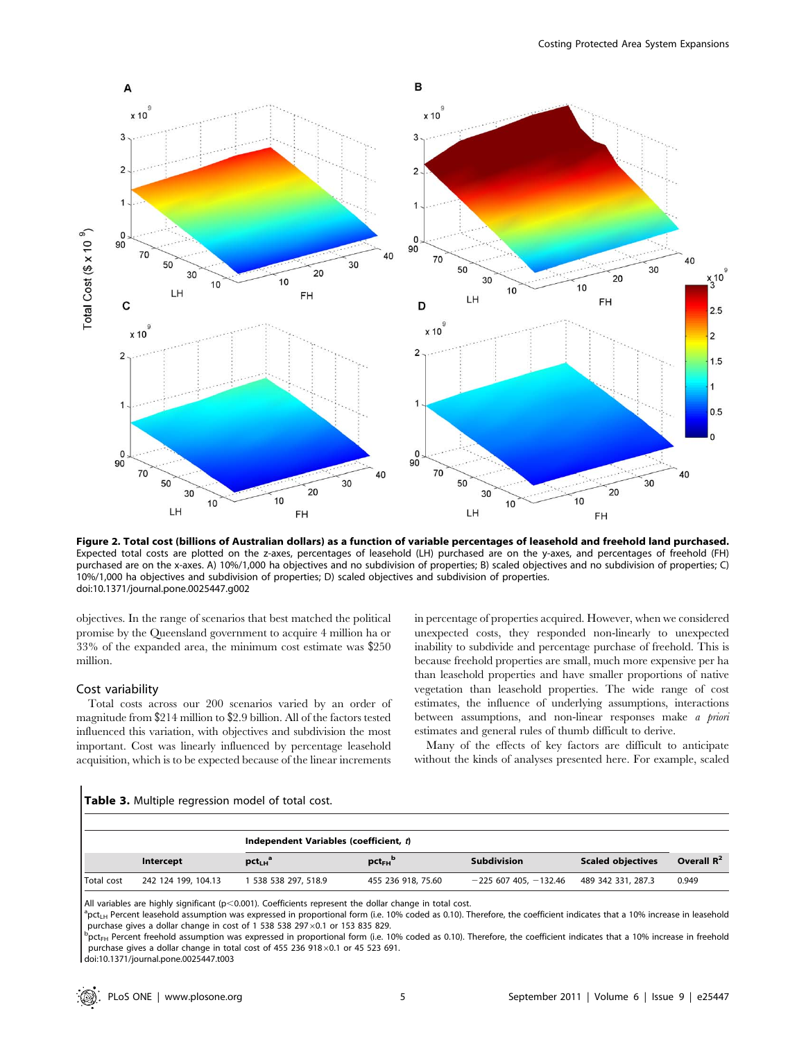

Figure 2. Total cost (billions of Australian dollars) as a function of variable percentages of leasehold and freehold land purchased. Expected total costs are plotted on the z-axes, percentages of leasehold (LH) purchased are on the y-axes, and percentages of freehold (FH) purchased are on the x-axes. A) 10%/1,000 ha objectives and no subdivision of properties; B) scaled objectives and no subdivision of properties; C) 10%/1,000 ha objectives and subdivision of properties; D) scaled objectives and subdivision of properties. doi:10.1371/journal.pone.0025447.g002

objectives. In the range of scenarios that best matched the political promise by the Queensland government to acquire 4 million ha or 33% of the expanded area, the minimum cost estimate was \$250 million.

#### Cost variability

Total costs across our 200 scenarios varied by an order of magnitude from \$214 million to \$2.9 billion. All of the factors tested influenced this variation, with objectives and subdivision the most important. Cost was linearly influenced by percentage leasehold acquisition, which is to be expected because of the linear increments in percentage of properties acquired. However, when we considered unexpected costs, they responded non-linearly to unexpected inability to subdivide and percentage purchase of freehold. This is because freehold properties are small, much more expensive per ha than leasehold properties and have smaller proportions of native vegetation than leasehold properties. The wide range of cost estimates, the influence of underlying assumptions, interactions between assumptions, and non-linear responses make a priori estimates and general rules of thumb difficult to derive.

Many of the effects of key factors are difficult to anticipate without the kinds of analyses presented here. For example, scaled

#### Table 3. Multiple regression model of total cost.

|            | Independent Variables (coefficient, t) |                    |                         |                           |                          |               |  |  |
|------------|----------------------------------------|--------------------|-------------------------|---------------------------|--------------------------|---------------|--|--|
|            | Intercept                              | $pct_{LH}^a$       | $pct_{FH}$ <sup>p</sup> | <b>Subdivision</b>        | <b>Scaled objectives</b> | Overall $R^2$ |  |  |
| Total cost | 242 124 199, 104.13                    | 538 538 297, 518.9 | 455 236 918, 75.60      | $-225$ 607 405, $-132.46$ | 489 342 331, 287.3       | 0.949         |  |  |

All variables are highly significant ( $p<0.001$ ). Coefficients represent the dollar change in total cost.

<sup>a</sup>pct<sub>LH</sub> Percent leasehold assumption was expressed in proportional form (i.e. 10% coded as 0.10). Therefore, the coefficient indicates that a 10% increase in leasehold purchase gives a dollar change in cost of 1 538 538 297 $\times$ 0.1 or 153 835 829.

 $p_{\text{C}}$ <sub>EH</sub> Percent freehold assumption was expressed in proportional form (i.e. 10% coded as 0.10). Therefore, the coefficient indicates that a 10% increase in freehold purchase gives a dollar change in total cost of 455 236 918 $\times$ 0.1 or 45 523 691.

doi:10.1371/journal.pone.0025447.t003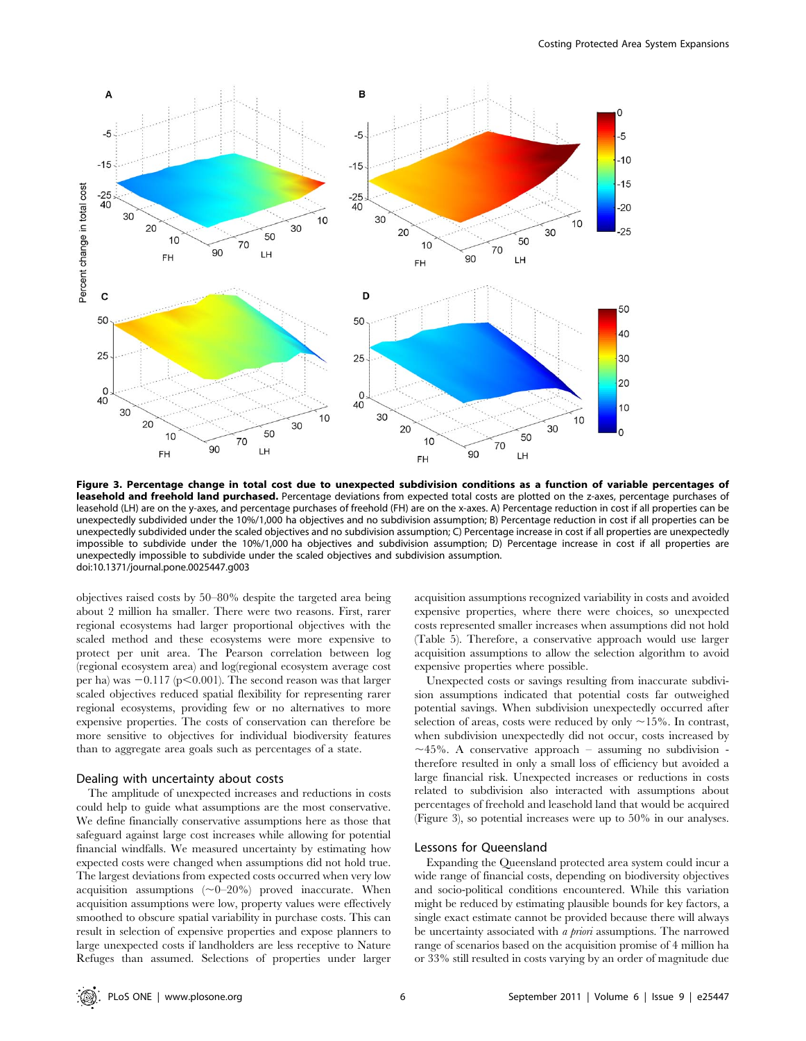

Figure 3. Percentage change in total cost due to unexpected subdivision conditions as a function of variable percentages of leasehold and freehold land purchased. Percentage deviations from expected total costs are plotted on the z-axes, percentage purchases of leasehold (LH) are on the y-axes, and percentage purchases of freehold (FH) are on the x-axes. A) Percentage reduction in cost if all properties can be unexpectedly subdivided under the 10%/1,000 ha objectives and no subdivision assumption; B) Percentage reduction in cost if all properties can be unexpectedly subdivided under the scaled objectives and no subdivision assumption; C) Percentage increase in cost if all properties are unexpectedly impossible to subdivide under the 10%/1,000 ha objectives and subdivision assumption; D) Percentage increase in cost if all properties are unexpectedly impossible to subdivide under the scaled objectives and subdivision assumption. doi:10.1371/journal.pone.0025447.g003

objectives raised costs by 50–80% despite the targeted area being about 2 million ha smaller. There were two reasons. First, rarer regional ecosystems had larger proportional objectives with the scaled method and these ecosystems were more expensive to protect per unit area. The Pearson correlation between log (regional ecosystem area) and log(regional ecosystem average cost per ha) was  $-0.117$  (p $\leq$ 0.001). The second reason was that larger scaled objectives reduced spatial flexibility for representing rarer regional ecosystems, providing few or no alternatives to more expensive properties. The costs of conservation can therefore be more sensitive to objectives for individual biodiversity features than to aggregate area goals such as percentages of a state.

#### Dealing with uncertainty about costs

The amplitude of unexpected increases and reductions in costs could help to guide what assumptions are the most conservative. We define financially conservative assumptions here as those that safeguard against large cost increases while allowing for potential financial windfalls. We measured uncertainty by estimating how expected costs were changed when assumptions did not hold true. The largest deviations from expected costs occurred when very low acquisition assumptions  $(\sim 0-20\%)$  proved inaccurate. When acquisition assumptions were low, property values were effectively smoothed to obscure spatial variability in purchase costs. This can result in selection of expensive properties and expose planners to large unexpected costs if landholders are less receptive to Nature Refuges than assumed. Selections of properties under larger acquisition assumptions recognized variability in costs and avoided expensive properties, where there were choices, so unexpected costs represented smaller increases when assumptions did not hold (Table 5). Therefore, a conservative approach would use larger acquisition assumptions to allow the selection algorithm to avoid expensive properties where possible.

Unexpected costs or savings resulting from inaccurate subdivision assumptions indicated that potential costs far outweighed potential savings. When subdivision unexpectedly occurred after selection of areas, costs were reduced by only  $\sim$ 15%. In contrast, when subdivision unexpectedly did not occur, costs increased by  $\sim$ 45%. A conservative approach – assuming no subdivision therefore resulted in only a small loss of efficiency but avoided a large financial risk. Unexpected increases or reductions in costs related to subdivision also interacted with assumptions about percentages of freehold and leasehold land that would be acquired (Figure 3), so potential increases were up to 50% in our analyses.

# Lessons for Queensland

Expanding the Queensland protected area system could incur a wide range of financial costs, depending on biodiversity objectives and socio-political conditions encountered. While this variation might be reduced by estimating plausible bounds for key factors, a single exact estimate cannot be provided because there will always be uncertainty associated with *a priori* assumptions. The narrowed range of scenarios based on the acquisition promise of 4 million ha or 33% still resulted in costs varying by an order of magnitude due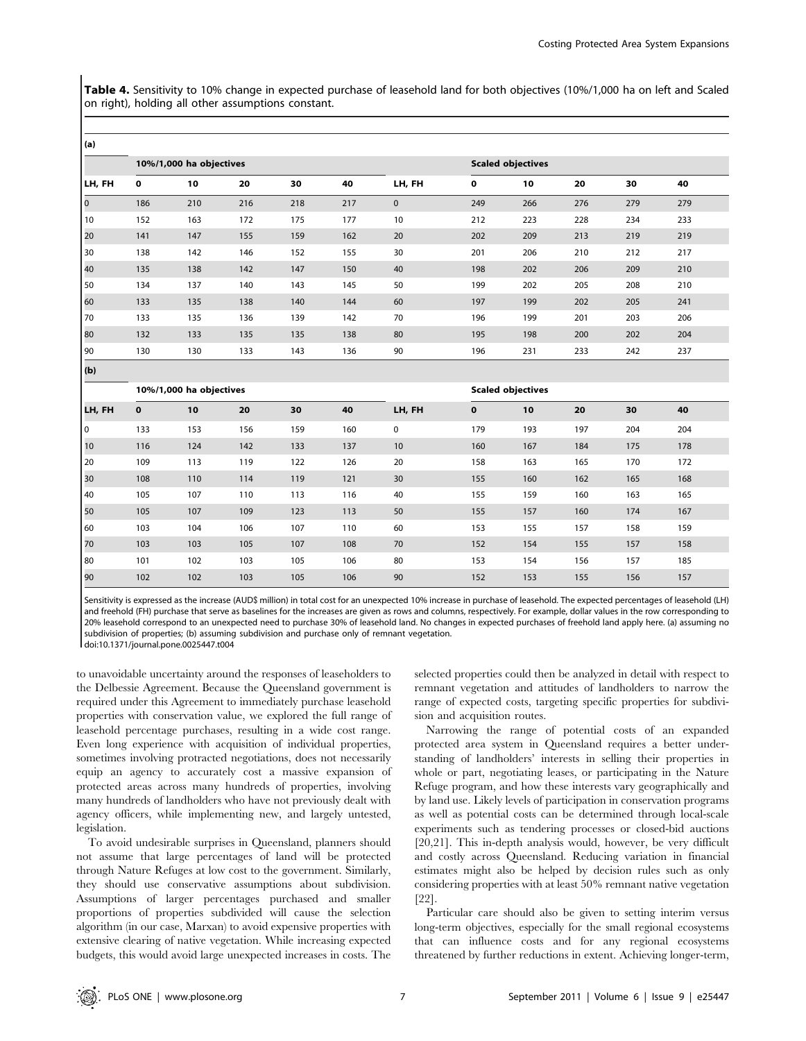Table 4. Sensitivity to 10% change in expected purchase of leasehold land for both objectives (10%/1,000 ha on left and Scaled on right), holding all other assumptions constant.

| (a)            |              |                         |     |     |     |                          |             |                          |     |     |     |  |
|----------------|--------------|-------------------------|-----|-----|-----|--------------------------|-------------|--------------------------|-----|-----|-----|--|
|                |              | 10%/1,000 ha objectives |     |     |     |                          |             | <b>Scaled objectives</b> |     |     |     |  |
| LH, FH         | $\mathbf 0$  | 10                      | 20  | 30  | 40  | LH, FH                   | $\mathbf 0$ | 10                       | 20  | 30  | 40  |  |
| $\overline{0}$ | 186          | 210                     | 216 | 218 | 217 | $\mathbf 0$              | 249         | 266                      | 276 | 279 | 279 |  |
| 10             | 152          | 163                     | 172 | 175 | 177 | 10                       | 212         | 223                      | 228 | 234 | 233 |  |
| 20             | 141          | 147                     | 155 | 159 | 162 | 20                       | 202         | 209                      | 213 | 219 | 219 |  |
| 30             | 138          | 142                     | 146 | 152 | 155 | 30                       | 201         | 206                      | 210 | 212 | 217 |  |
| 40             | 135          | 138                     | 142 | 147 | 150 | 40                       | 198         | 202                      | 206 | 209 | 210 |  |
| 50             | 134          | 137                     | 140 | 143 | 145 | 50                       | 199         | 202                      | 205 | 208 | 210 |  |
| 60             | 133          | 135                     | 138 | 140 | 144 | 60                       | 197         | 199                      | 202 | 205 | 241 |  |
| 70             | 133          | 135                     | 136 | 139 | 142 | 70                       | 196         | 199                      | 201 | 203 | 206 |  |
| 80             | 132          | 133                     | 135 | 135 | 138 | 80                       | 195         | 198                      | 200 | 202 | 204 |  |
| 90             | 130          | 130                     | 133 | 143 | 136 | 90                       | 196         | 231                      | 233 | 242 | 237 |  |
| (b)            |              |                         |     |     |     |                          |             |                          |     |     |     |  |
|                |              | 10%/1,000 ha objectives |     |     |     | <b>Scaled objectives</b> |             |                          |     |     |     |  |
| LH, FH         | $\mathbf{o}$ | 10                      | 20  | 30  | 40  | LH, FH                   | $\mathbf 0$ | 10                       | 20  | 30  | 40  |  |
| l o            | 133          | 153                     | 156 | 159 | 160 | $\mathbf 0$              | 179         | 193                      | 197 | 204 | 204 |  |
| 10             | 116          | 124                     | 142 | 133 | 137 | 10                       | 160         | 167                      | 184 | 175 | 178 |  |
| 20             | 109          | 113                     | 119 | 122 | 126 | 20                       | 158         | 163                      | 165 | 170 | 172 |  |
| 30             | 108          | 110                     | 114 | 119 | 121 | 30                       | 155         | 160                      | 162 | 165 | 168 |  |
| 40             | 105          | 107                     | 110 | 113 | 116 | 40                       | 155         | 159                      | 160 | 163 | 165 |  |
| 50             | 105          | 107                     | 109 | 123 | 113 | 50                       | 155         | 157                      | 160 | 174 | 167 |  |
| 60             | 103          | 104                     | 106 | 107 | 110 | 60                       | 153         | 155                      | 157 | 158 | 159 |  |
| 70             | 103          | 103                     | 105 | 107 | 108 | 70                       | 152         | 154                      | 155 | 157 | 158 |  |
| 80             | 101          | 102                     | 103 | 105 | 106 | 80                       | 153         | 154                      | 156 | 157 | 185 |  |
| 90             |              |                         |     |     |     |                          |             |                          |     |     |     |  |

Sensitivity is expressed as the increase (AUD\$ million) in total cost for an unexpected 10% increase in purchase of leasehold. The expected percentages of leasehold (LH) and freehold (FH) purchase that serve as baselines for the increases are given as rows and columns, respectively. For example, dollar values in the row corresponding to 20% leasehold correspond to an unexpected need to purchase 30% of leasehold land. No changes in expected purchases of freehold land apply here. (a) assuming no subdivision of properties; (b) assuming subdivision and purchase only of remnant vegetation.

doi:10.1371/journal.pone.0025447.t004

to unavoidable uncertainty around the responses of leaseholders to the Delbessie Agreement. Because the Queensland government is required under this Agreement to immediately purchase leasehold properties with conservation value, we explored the full range of leasehold percentage purchases, resulting in a wide cost range. Even long experience with acquisition of individual properties, sometimes involving protracted negotiations, does not necessarily equip an agency to accurately cost a massive expansion of protected areas across many hundreds of properties, involving many hundreds of landholders who have not previously dealt with agency officers, while implementing new, and largely untested, legislation.

To avoid undesirable surprises in Queensland, planners should not assume that large percentages of land will be protected through Nature Refuges at low cost to the government. Similarly, they should use conservative assumptions about subdivision. Assumptions of larger percentages purchased and smaller proportions of properties subdivided will cause the selection algorithm (in our case, Marxan) to avoid expensive properties with extensive clearing of native vegetation. While increasing expected budgets, this would avoid large unexpected increases in costs. The

selected properties could then be analyzed in detail with respect to remnant vegetation and attitudes of landholders to narrow the range of expected costs, targeting specific properties for subdivision and acquisition routes.

Narrowing the range of potential costs of an expanded protected area system in Queensland requires a better understanding of landholders' interests in selling their properties in whole or part, negotiating leases, or participating in the Nature Refuge program, and how these interests vary geographically and by land use. Likely levels of participation in conservation programs as well as potential costs can be determined through local-scale experiments such as tendering processes or closed-bid auctions [20,21]. This in-depth analysis would, however, be very difficult and costly across Queensland. Reducing variation in financial estimates might also be helped by decision rules such as only considering properties with at least 50% remnant native vegetation [22].

Particular care should also be given to setting interim versus long-term objectives, especially for the small regional ecosystems that can influence costs and for any regional ecosystems threatened by further reductions in extent. Achieving longer-term,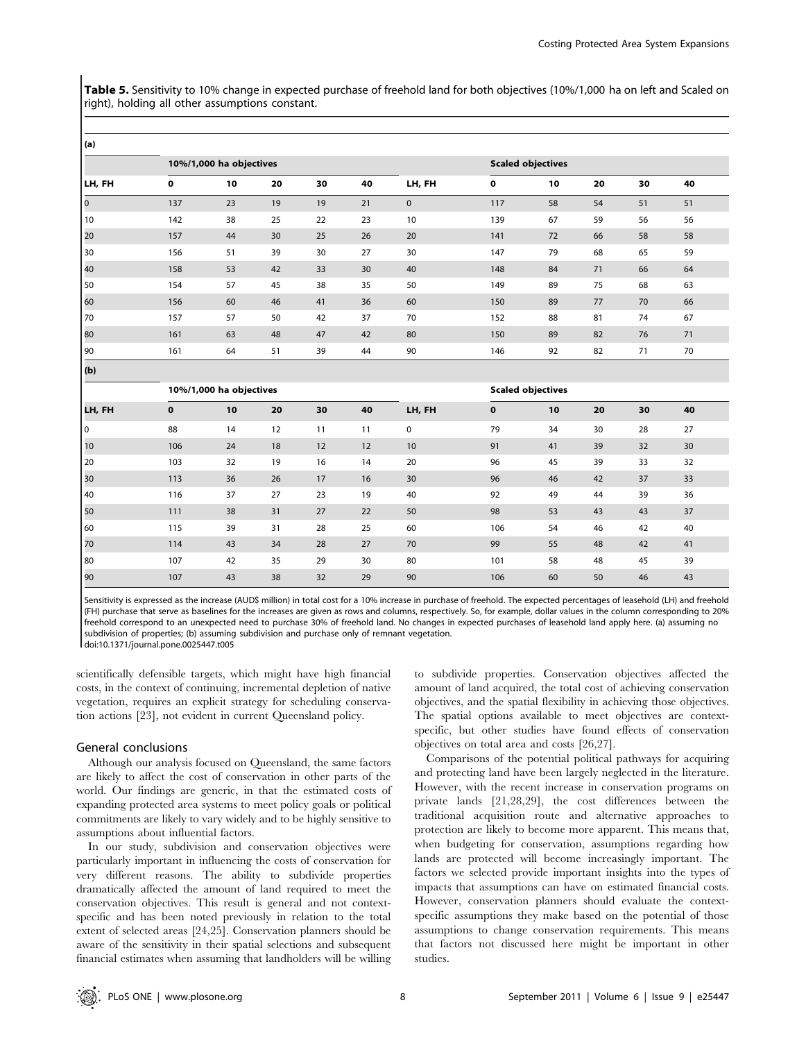Table 5. Sensitivity to 10% change in expected purchase of freehold land for both objectives (10%/1,000 ha on left and Scaled on right), holding all other assumptions constant.

| (a)       |                         |    |                          |    |    |                          |          |    |    |    |    |  |
|-----------|-------------------------|----|--------------------------|----|----|--------------------------|----------|----|----|----|----|--|
|           | 10%/1,000 ha objectives |    | <b>Scaled objectives</b> |    |    |                          |          |    |    |    |    |  |
| LH, FH    | 0                       | 10 | 20                       | 30 | 40 | LH, FH                   | 0        | 10 | 20 | 30 | 40 |  |
| $\vert$ 0 | 137                     | 23 | 19                       | 19 | 21 | $\mathbf 0$              | 117      | 58 | 54 | 51 | 51 |  |
| 10        | 142                     | 38 | 25                       | 22 | 23 | 10                       | 139      | 67 | 59 | 56 | 56 |  |
| 20        | 157                     | 44 | 30                       | 25 | 26 | 20                       | 141      | 72 | 66 | 58 | 58 |  |
| 30        | 156                     | 51 | 39                       | 30 | 27 | 30                       | 147      | 79 | 68 | 65 | 59 |  |
| 40        | 158                     | 53 | 42                       | 33 | 30 | 40                       | 148      | 84 | 71 | 66 | 64 |  |
| 50        | 154                     | 57 | 45                       | 38 | 35 | 50                       | 149      | 89 | 75 | 68 | 63 |  |
| 60        | 156                     | 60 | 46                       | 41 | 36 | 60                       | 150      | 89 | 77 | 70 | 66 |  |
| 70        | 157                     | 57 | 50                       | 42 | 37 | 70                       | 152      | 88 | 81 | 74 | 67 |  |
| 80        | 161                     | 63 | 48                       | 47 | 42 | 80                       | 150      | 89 | 82 | 76 | 71 |  |
| 90        | 161                     | 64 | 51                       | 39 | 44 | 90                       | 146      | 92 | 82 | 71 | 70 |  |
| (b)       |                         |    |                          |    |    |                          |          |    |    |    |    |  |
|           | 10%/1,000 ha objectives |    |                          |    |    | <b>Scaled objectives</b> |          |    |    |    |    |  |
| LH, FH    | $\mathbf 0$             | 10 | 20                       | 30 | 40 | LH, FH                   | $\bf{0}$ | 10 | 20 | 30 | 40 |  |
| l o       | 88                      | 14 | 12                       | 11 | 11 | $\mathbf 0$              | 79       | 34 | 30 | 28 | 27 |  |
| 10        | 106                     | 24 | 18                       | 12 | 12 | 10                       | 91       | 41 | 39 | 32 | 30 |  |
| 20        | 103                     | 32 | 19                       | 16 | 14 | 20                       | 96       | 45 | 39 | 33 | 32 |  |
| 30        | 113                     | 36 | 26                       | 17 | 16 | 30                       | 96       | 46 | 42 | 37 | 33 |  |
| 40        | 116                     | 37 | 27                       | 23 | 19 | 40                       | 92       | 49 | 44 | 39 | 36 |  |
| 50        | 111                     | 38 | 31                       | 27 | 22 | 50                       | 98       | 53 | 43 | 43 | 37 |  |
| 60        | 115                     | 39 | 31                       | 28 | 25 | 60                       | 106      | 54 | 46 | 42 | 40 |  |
| 70        | 114                     | 43 | 34                       | 28 | 27 | 70                       | 99       | 55 | 48 | 42 | 41 |  |

Sensitivity is expressed as the increase (AUD\$ million) in total cost for a 10% increase in purchase of freehold. The expected percentages of leasehold (LH) and freehold (FH) purchase that serve as baselines for the increases are given as rows and columns, respectively. So, for example, dollar values in the column corresponding to 20% freehold correspond to an unexpected need to purchase 30% of freehold land. No changes in expected purchases of leasehold land apply here. (a) assuming no subdivision of properties; (b) assuming subdivision and purchase only of remnant vegetation. doi:10.1371/journal.pone.0025447.t005

80 107 42 35 29 30 80 101 58 48 45 39 90 107 43 38 32 29 90 106 60 50 46 43

scientifically defensible targets, which might have high financial costs, in the context of continuing, incremental depletion of native vegetation, requires an explicit strategy for scheduling conservation actions [23], not evident in current Queensland policy.

# General conclusions

Although our analysis focused on Queensland, the same factors are likely to affect the cost of conservation in other parts of the world. Our findings are generic, in that the estimated costs of expanding protected area systems to meet policy goals or political commitments are likely to vary widely and to be highly sensitive to assumptions about influential factors.

In our study, subdivision and conservation objectives were particularly important in influencing the costs of conservation for very different reasons. The ability to subdivide properties dramatically affected the amount of land required to meet the conservation objectives. This result is general and not contextspecific and has been noted previously in relation to the total extent of selected areas [24,25]. Conservation planners should be aware of the sensitivity in their spatial selections and subsequent financial estimates when assuming that landholders will be willing to subdivide properties. Conservation objectives affected the amount of land acquired, the total cost of achieving conservation objectives, and the spatial flexibility in achieving those objectives. The spatial options available to meet objectives are contextspecific, but other studies have found effects of conservation objectives on total area and costs [26,27].

Comparisons of the potential political pathways for acquiring and protecting land have been largely neglected in the literature. However, with the recent increase in conservation programs on private lands [21,28,29], the cost differences between the traditional acquisition route and alternative approaches to protection are likely to become more apparent. This means that, when budgeting for conservation, assumptions regarding how lands are protected will become increasingly important. The factors we selected provide important insights into the types of impacts that assumptions can have on estimated financial costs. However, conservation planners should evaluate the contextspecific assumptions they make based on the potential of those assumptions to change conservation requirements. This means that factors not discussed here might be important in other studies.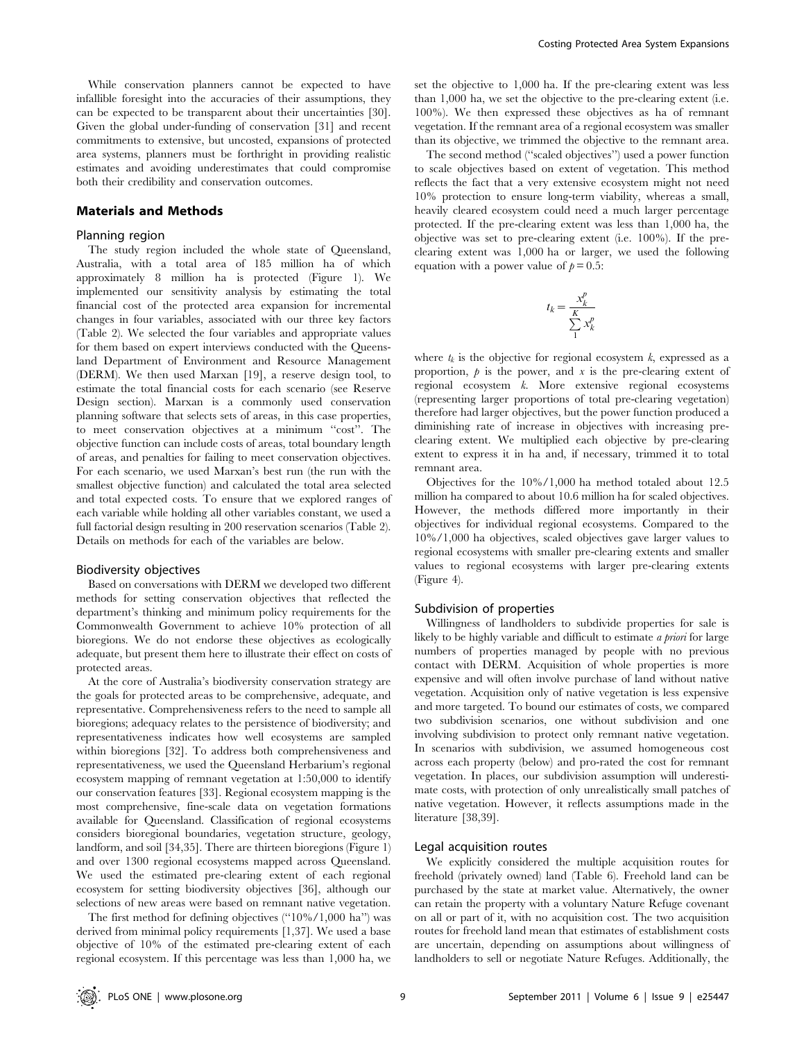While conservation planners cannot be expected to have infallible foresight into the accuracies of their assumptions, they can be expected to be transparent about their uncertainties [30]. Given the global under-funding of conservation [31] and recent commitments to extensive, but uncosted, expansions of protected area systems, planners must be forthright in providing realistic estimates and avoiding underestimates that could compromise both their credibility and conservation outcomes.

#### Materials and Methods

## Planning region

The study region included the whole state of Queensland, Australia, with a total area of 185 million ha of which approximately 8 million ha is protected (Figure 1). We implemented our sensitivity analysis by estimating the total financial cost of the protected area expansion for incremental changes in four variables, associated with our three key factors (Table 2). We selected the four variables and appropriate values for them based on expert interviews conducted with the Queensland Department of Environment and Resource Management (DERM). We then used Marxan [19], a reserve design tool, to estimate the total financial costs for each scenario (see Reserve Design section). Marxan is a commonly used conservation planning software that selects sets of areas, in this case properties, to meet conservation objectives at a minimum ''cost''. The objective function can include costs of areas, total boundary length of areas, and penalties for failing to meet conservation objectives. For each scenario, we used Marxan's best run (the run with the smallest objective function) and calculated the total area selected and total expected costs. To ensure that we explored ranges of each variable while holding all other variables constant, we used a full factorial design resulting in 200 reservation scenarios (Table 2). Details on methods for each of the variables are below.

#### Biodiversity objectives

Based on conversations with DERM we developed two different methods for setting conservation objectives that reflected the department's thinking and minimum policy requirements for the Commonwealth Government to achieve 10% protection of all bioregions. We do not endorse these objectives as ecologically adequate, but present them here to illustrate their effect on costs of protected areas.

At the core of Australia's biodiversity conservation strategy are the goals for protected areas to be comprehensive, adequate, and representative. Comprehensiveness refers to the need to sample all bioregions; adequacy relates to the persistence of biodiversity; and representativeness indicates how well ecosystems are sampled within bioregions [32]. To address both comprehensiveness and representativeness, we used the Queensland Herbarium's regional ecosystem mapping of remnant vegetation at 1:50,000 to identify our conservation features [33]. Regional ecosystem mapping is the most comprehensive, fine-scale data on vegetation formations available for Queensland. Classification of regional ecosystems considers bioregional boundaries, vegetation structure, geology, landform, and soil [34,35]. There are thirteen bioregions (Figure 1) and over 1300 regional ecosystems mapped across Queensland. We used the estimated pre-clearing extent of each regional ecosystem for setting biodiversity objectives [36], although our selections of new areas were based on remnant native vegetation.

The first method for defining objectives (''10%/1,000 ha'') was derived from minimal policy requirements [1,37]. We used a base objective of 10% of the estimated pre-clearing extent of each regional ecosystem. If this percentage was less than 1,000 ha, we

set the objective to 1,000 ha. If the pre-clearing extent was less than 1,000 ha, we set the objective to the pre-clearing extent (i.e. 100%). We then expressed these objectives as ha of remnant vegetation. If the remnant area of a regional ecosystem was smaller than its objective, we trimmed the objective to the remnant area.

The second method (''scaled objectives'') used a power function to scale objectives based on extent of vegetation. This method reflects the fact that a very extensive ecosystem might not need 10% protection to ensure long-term viability, whereas a small, heavily cleared ecosystem could need a much larger percentage protected. If the pre-clearing extent was less than 1,000 ha, the objective was set to pre-clearing extent (i.e. 100%). If the preclearing extent was 1,000 ha or larger, we used the following equation with a power value of  $p = 0.5$ :

$$
t_k = \frac{x_k^p}{\sum_{1}^{K} x_k^p}
$$

where  $t_k$  is the objective for regional ecosystem k, expressed as a proportion,  $\phi$  is the power, and  $x$  is the pre-clearing extent of regional ecosystem k. More extensive regional ecosystems (representing larger proportions of total pre-clearing vegetation) therefore had larger objectives, but the power function produced a diminishing rate of increase in objectives with increasing preclearing extent. We multiplied each objective by pre-clearing extent to express it in ha and, if necessary, trimmed it to total remnant area.

Objectives for the 10%/1,000 ha method totaled about 12.5 million ha compared to about 10.6 million ha for scaled objectives. However, the methods differed more importantly in their objectives for individual regional ecosystems. Compared to the 10%/1,000 ha objectives, scaled objectives gave larger values to regional ecosystems with smaller pre-clearing extents and smaller values to regional ecosystems with larger pre-clearing extents (Figure 4).

# Subdivision of properties

Willingness of landholders to subdivide properties for sale is likely to be highly variable and difficult to estimate a priori for large numbers of properties managed by people with no previous contact with DERM. Acquisition of whole properties is more expensive and will often involve purchase of land without native vegetation. Acquisition only of native vegetation is less expensive and more targeted. To bound our estimates of costs, we compared two subdivision scenarios, one without subdivision and one involving subdivision to protect only remnant native vegetation. In scenarios with subdivision, we assumed homogeneous cost across each property (below) and pro-rated the cost for remnant vegetation. In places, our subdivision assumption will underestimate costs, with protection of only unrealistically small patches of native vegetation. However, it reflects assumptions made in the literature [38,39].

#### Legal acquisition routes

We explicitly considered the multiple acquisition routes for freehold (privately owned) land (Table 6). Freehold land can be purchased by the state at market value. Alternatively, the owner can retain the property with a voluntary Nature Refuge covenant on all or part of it, with no acquisition cost. The two acquisition routes for freehold land mean that estimates of establishment costs are uncertain, depending on assumptions about willingness of landholders to sell or negotiate Nature Refuges. Additionally, the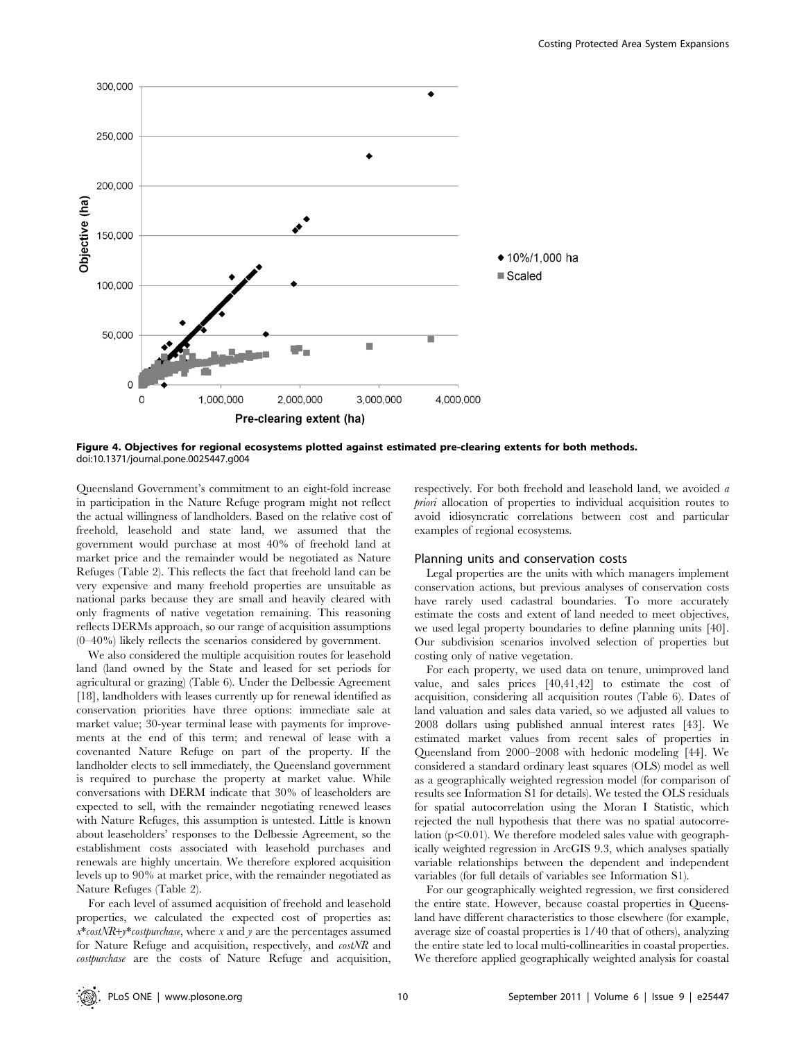

Figure 4. Objectives for regional ecosystems plotted against estimated pre-clearing extents for both methods. doi:10.1371/journal.pone.0025447.g004

Queensland Government's commitment to an eight-fold increase in participation in the Nature Refuge program might not reflect the actual willingness of landholders. Based on the relative cost of freehold, leasehold and state land, we assumed that the government would purchase at most 40% of freehold land at market price and the remainder would be negotiated as Nature Refuges (Table 2). This reflects the fact that freehold land can be very expensive and many freehold properties are unsuitable as national parks because they are small and heavily cleared with only fragments of native vegetation remaining. This reasoning reflects DERMs approach, so our range of acquisition assumptions (0–40%) likely reflects the scenarios considered by government.

We also considered the multiple acquisition routes for leasehold land (land owned by the State and leased for set periods for agricultural or grazing) (Table 6). Under the Delbessie Agreement [18], landholders with leases currently up for renewal identified as conservation priorities have three options: immediate sale at market value; 30-year terminal lease with payments for improvements at the end of this term; and renewal of lease with a covenanted Nature Refuge on part of the property. If the landholder elects to sell immediately, the Queensland government is required to purchase the property at market value. While conversations with DERM indicate that 30% of leaseholders are expected to sell, with the remainder negotiating renewed leases with Nature Refuges, this assumption is untested. Little is known about leaseholders' responses to the Delbessie Agreement, so the establishment costs associated with leasehold purchases and renewals are highly uncertain. We therefore explored acquisition levels up to 90% at market price, with the remainder negotiated as Nature Refuges (Table 2).

For each level of assumed acquisition of freehold and leasehold properties, we calculated the expected cost of properties as:  $x*costNR+y*cost purchase$ , where x and y are the percentages assumed for Nature Refuge and acquisition, respectively, and costNR and costpurchase are the costs of Nature Refuge and acquisition,

respectively. For both freehold and leasehold land, we avoided a priori allocation of properties to individual acquisition routes to avoid idiosyncratic correlations between cost and particular examples of regional ecosystems.

#### Planning units and conservation costs

Legal properties are the units with which managers implement conservation actions, but previous analyses of conservation costs have rarely used cadastral boundaries. To more accurately estimate the costs and extent of land needed to meet objectives, we used legal property boundaries to define planning units [40]. Our subdivision scenarios involved selection of properties but costing only of native vegetation.

For each property, we used data on tenure, unimproved land value, and sales prices [40,41,42] to estimate the cost of acquisition, considering all acquisition routes (Table 6). Dates of land valuation and sales data varied, so we adjusted all values to 2008 dollars using published annual interest rates [43]. We estimated market values from recent sales of properties in Queensland from 2000–2008 with hedonic modeling [44]. We considered a standard ordinary least squares (OLS) model as well as a geographically weighted regression model (for comparison of results see Information S1 for details). We tested the OLS residuals for spatial autocorrelation using the Moran I Statistic, which rejected the null hypothesis that there was no spatial autocorrelation  $(p<0.01)$ . We therefore modeled sales value with geographically weighted regression in ArcGIS 9.3, which analyses spatially variable relationships between the dependent and independent variables (for full details of variables see Information S1).

For our geographically weighted regression, we first considered the entire state. However, because coastal properties in Queensland have different characteristics to those elsewhere (for example, average size of coastal properties is 1/40 that of others), analyzing the entire state led to local multi-collinearities in coastal properties. We therefore applied geographically weighted analysis for coastal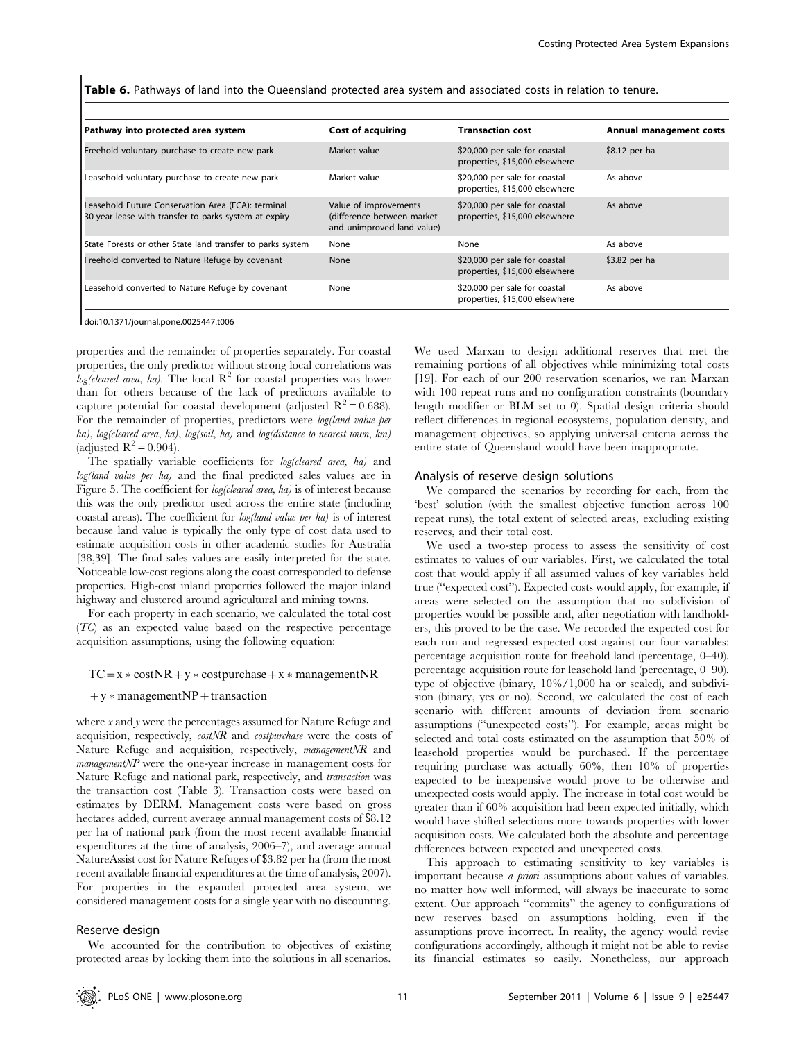Table 6. Pathways of land into the Queensland protected area system and associated costs in relation to tenure.

| Pathway into protected area system                                                                          | <b>Cost of acquiring</b>                                                          | <b>Transaction cost</b>                                         | Annual management costs |
|-------------------------------------------------------------------------------------------------------------|-----------------------------------------------------------------------------------|-----------------------------------------------------------------|-------------------------|
| Freehold voluntary purchase to create new park                                                              | Market value                                                                      | \$20,000 per sale for coastal<br>properties, \$15,000 elsewhere | \$8.12 per ha           |
| Leasehold voluntary purchase to create new park                                                             | Market value                                                                      | \$20,000 per sale for coastal<br>properties, \$15,000 elsewhere | As above                |
| Leasehold Future Conservation Area (FCA): terminal<br>30-year lease with transfer to parks system at expiry | Value of improvements<br>(difference between market<br>and unimproved land value) | \$20,000 per sale for coastal<br>properties, \$15,000 elsewhere | As above                |
| State Forests or other State land transfer to parks system                                                  | None                                                                              | None                                                            | As above                |
| Freehold converted to Nature Refuge by covenant                                                             | None                                                                              | \$20,000 per sale for coastal<br>properties, \$15,000 elsewhere | \$3.82 per ha           |
| Leasehold converted to Nature Refuge by covenant                                                            | None                                                                              | \$20,000 per sale for coastal<br>properties, \$15,000 elsewhere | As above                |

doi:10.1371/journal.pone.0025447.t006

properties and the remainder of properties separately. For coastal properties, the only predictor without strong local correlations was log(cleared area, ha). The local  $\mathbb{R}^2$  for coastal properties was lower than for others because of the lack of predictors available to capture potential for coastal development (adjusted  $R^2 = 0.688$ ). For the remainder of properties, predictors were *log(land value per* ha), log(cleared area, ha), log(soil, ha) and log(distance to nearest town,  $km$ ) (adjusted  $R^2 = 0.904$ ).

The spatially variable coefficients for *log(cleared area, ha)* and log(land value per ha) and the final predicted sales values are in Figure 5. The coefficient for *log(cleared area, ha)* is of interest because this was the only predictor used across the entire state (including coastal areas). The coefficient for log(land value per ha) is of interest because land value is typically the only type of cost data used to estimate acquisition costs in other academic studies for Australia [38,39]. The final sales values are easily interpreted for the state. Noticeable low-cost regions along the coast corresponded to defense properties. High-cost inland properties followed the major inland highway and clustered around agricultural and mining towns.

For each property in each scenario, we calculated the total cost (TC) as an expected value based on the respective percentage acquisition assumptions, using the following equation:

 $TC = x * costNR + y * costpurebase + x * managementNR$ 

 $+y * management NP + transaction$ 

where  $x$  and  $y$  were the percentages assumed for Nature Refuge and acquisition, respectively, costNR and costpurchase were the costs of Nature Refuge and acquisition, respectively, *managementNR* and managementNP were the one-year increase in management costs for Nature Refuge and national park, respectively, and transaction was the transaction cost (Table 3). Transaction costs were based on estimates by DERM. Management costs were based on gross hectares added, current average annual management costs of \$8.12 per ha of national park (from the most recent available financial expenditures at the time of analysis, 2006–7), and average annual NatureAssist cost for Nature Refuges of \$3.82 per ha (from the most recent available financial expenditures at the time of analysis, 2007). For properties in the expanded protected area system, we considered management costs for a single year with no discounting.

#### Reserve design

We accounted for the contribution to objectives of existing protected areas by locking them into the solutions in all scenarios.

We used Marxan to design additional reserves that met the remaining portions of all objectives while minimizing total costs [19]. For each of our 200 reservation scenarios, we ran Marxan with 100 repeat runs and no configuration constraints (boundary length modifier or BLM set to 0). Spatial design criteria should reflect differences in regional ecosystems, population density, and management objectives, so applying universal criteria across the entire state of Queensland would have been inappropriate.

#### Analysis of reserve design solutions

We compared the scenarios by recording for each, from the 'best' solution (with the smallest objective function across 100 repeat runs), the total extent of selected areas, excluding existing reserves, and their total cost.

We used a two-step process to assess the sensitivity of cost estimates to values of our variables. First, we calculated the total cost that would apply if all assumed values of key variables held true (''expected cost''). Expected costs would apply, for example, if areas were selected on the assumption that no subdivision of properties would be possible and, after negotiation with landholders, this proved to be the case. We recorded the expected cost for each run and regressed expected cost against our four variables: percentage acquisition route for freehold land (percentage, 0–40), percentage acquisition route for leasehold land (percentage, 0–90), type of objective (binary, 10%/1,000 ha or scaled), and subdivision (binary, yes or no). Second, we calculated the cost of each scenario with different amounts of deviation from scenario assumptions (''unexpected costs''). For example, areas might be selected and total costs estimated on the assumption that 50% of leasehold properties would be purchased. If the percentage requiring purchase was actually 60%, then 10% of properties expected to be inexpensive would prove to be otherwise and unexpected costs would apply. The increase in total cost would be greater than if 60% acquisition had been expected initially, which would have shifted selections more towards properties with lower acquisition costs. We calculated both the absolute and percentage differences between expected and unexpected costs.

This approach to estimating sensitivity to key variables is important because *a priori* assumptions about values of variables, no matter how well informed, will always be inaccurate to some extent. Our approach ''commits'' the agency to configurations of new reserves based on assumptions holding, even if the assumptions prove incorrect. In reality, the agency would revise configurations accordingly, although it might not be able to revise its financial estimates so easily. Nonetheless, our approach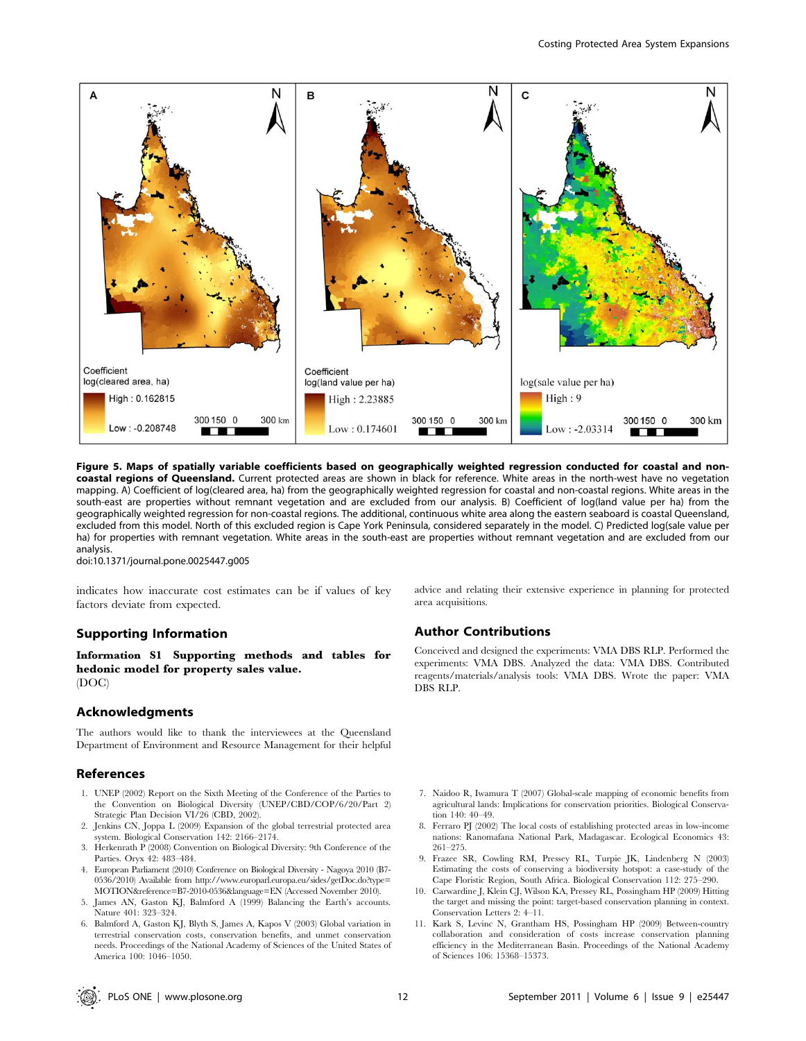

Figure 5. Maps of spatially variable coefficients based on geographically weighted regression conducted for coastal and noncoastal regions of Queensland. Current protected areas are shown in black for reference. White areas in the north-west have no vegetation mapping. A) Coefficient of log(cleared area, ha) from the geographically weighted regression for coastal and non-coastal regions. White areas in the south-east are properties without remnant vegetation and are excluded from our analysis. B) Coefficient of log(land value per ha) from the geographically weighted regression for non-coastal regions. The additional, continuous white area along the eastern seaboard is coastal Queensland, excluded from this model. North of this excluded region is Cape York Peninsula, considered separately in the model. C) Predicted log(sale value per ha) for properties with remnant vegetation. White areas in the south-east are properties without remnant vegetation and are excluded from our analysis.

doi:10.1371/journal.pone.0025447.g005

indicates how inaccurate cost estimates can be if values of key factors deviate from expected.

#### Supporting Information

Information S1 Supporting methods and tables for hedonic model for property sales value. (DOC)

# Acknowledgments

The authors would like to thank the interviewees at the Queensland Department of Environment and Resource Management for their helpful

## References

- 1. UNEP (2002) Report on the Sixth Meeting of the Conference of the Parties to the Convention on Biological Diversity (UNEP/CBD/COP/6/20/Part 2) Strategic Plan Decision VI/26 (CBD, 2002).
- 2. Jenkins CN, Joppa L (2009) Expansion of the global terrestrial protected area system. Biological Conservation 142: 2166–2174.
- 3. Herkenrath P (2008) Convention on Biological Diversity: 9th Conference of the Parties. Oryx 42: 483–484.
- 4. European Parliament (2010) Conference on Biological Diversity Nagoya 2010 (B7- 0536/2010) Available from http://www.europarl.europa.eu/sides/getDoc.do?type= MOTION&reference=B7-2010-0536&language=EN (Accessed November 2010).
- James AN, Gaston KJ, Balmford A (1999) Balancing the Earth's accounts. Nature 401: 323–324.
- 6. Balmford A, Gaston KJ, Blyth S, James A, Kapos V (2003) Global variation in terrestrial conservation costs, conservation benefits, and unmet conservation needs. Proceedings of the National Academy of Sciences of the United States of America 100: 1046–1050.

advice and relating their extensive experience in planning for protected area acquisitions.

# Author Contributions

Conceived and designed the experiments: VMA DBS RLP. Performed the experiments: VMA DBS. Analyzed the data: VMA DBS. Contributed reagents/materials/analysis tools: VMA DBS. Wrote the paper: VMA DBS RLP.

- 7. Naidoo R, Iwamura T (2007) Global-scale mapping of economic benefits from agricultural lands: Implications for conservation priorities. Biological Conservation 140: 40–49.
- 8. Ferraro PJ (2002) The local costs of establishing protected areas in low-income nations: Ranomafana National Park, Madagascar. Ecological Economics 43: 261–275.
- 9. Frazee SR, Cowling RM, Pressey RL, Turpie JK, Lindenberg N (2003) Estimating the costs of conserving a biodiversity hotspot: a case-study of the Cape Floristic Region, South Africa. Biological Conservation 112: 275–290.
- 10. Carwardine J, Klein CJ, Wilson KA, Pressey RL, Possingham HP (2009) Hitting the target and missing the point: target-based conservation planning in context. Conservation Letters 2: 4–11.
- 11. Kark S, Levinc N, Grantham HS, Possingham HP (2009) Between-country collaboration and consideration of costs increase conservation planning efficiency in the Mediterranean Basin. Proceedings of the National Academy of Sciences 106: 15368–15373.